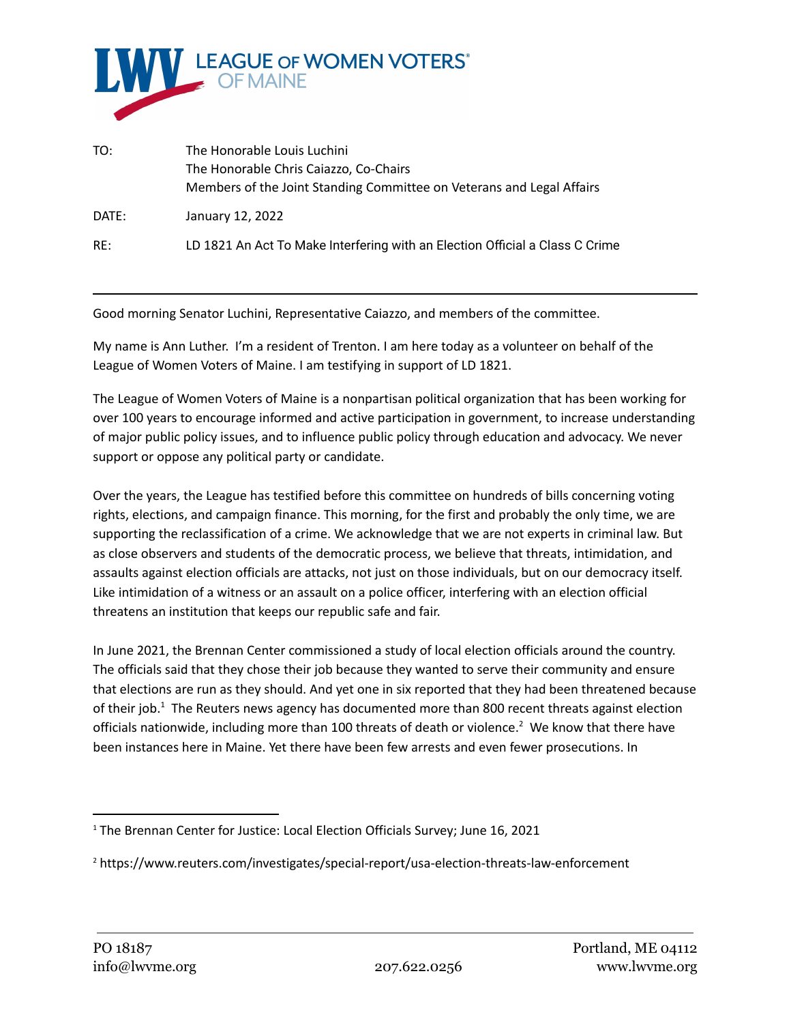

| TO:   | The Honorable Louis Luchini<br>The Honorable Chris Caiazzo, Co-Chairs<br>Members of the Joint Standing Committee on Veterans and Legal Affairs |
|-------|------------------------------------------------------------------------------------------------------------------------------------------------|
| DATE: | January 12, 2022                                                                                                                               |
| RE:   | LD 1821 An Act To Make Interfering with an Election Official a Class C Crime                                                                   |

Good morning Senator Luchini, Representative Caiazzo, and members of the committee.

My name is Ann Luther. I'm a resident of Trenton. I am here today as a volunteer on behalf of the League of Women Voters of Maine. I am testifying in support of LD 1821.

The League of Women Voters of Maine is a nonpartisan political organization that has been working for over 100 years to encourage informed and active participation in government, to increase understanding of major public policy issues, and to influence public policy through education and advocacy. We never support or oppose any political party or candidate.

Over the years, the League has testified before this committee on hundreds of bills concerning voting rights, elections, and campaign finance. This morning, for the first and probably the only time, we are supporting the reclassification of a crime. We acknowledge that we are not experts in criminal law. But as close observers and students of the democratic process, we believe that threats, intimidation, and assaults against election officials are attacks, not just on those individuals, but on our democracy itself. Like intimidation of a witness or an assault on a police officer, interfering with an election official threatens an institution that keeps our republic safe and fair.

In June 2021, the Brennan Center commissioned a study of local election officials around the country. The officials said that they chose their job because they wanted to serve their community and ensure that elections are run as they should. And yet one in six reported that they had been threatened because of their job.<sup>1</sup> The Reuters news agency has documented more than 800 recent threats against election officials nationwide, including more than 100 threats of death or violence.<sup>2</sup> We know that there have been instances here in Maine. Yet there have been few arrests and even fewer prosecutions. In

<sup>&</sup>lt;sup>1</sup> The Brennan Center for Justice: Local Election Officials Survey; June 16, 2021

<sup>2</sup> https://www.reuters.com/investigates/special-report/usa-election-threats-law-enforcement